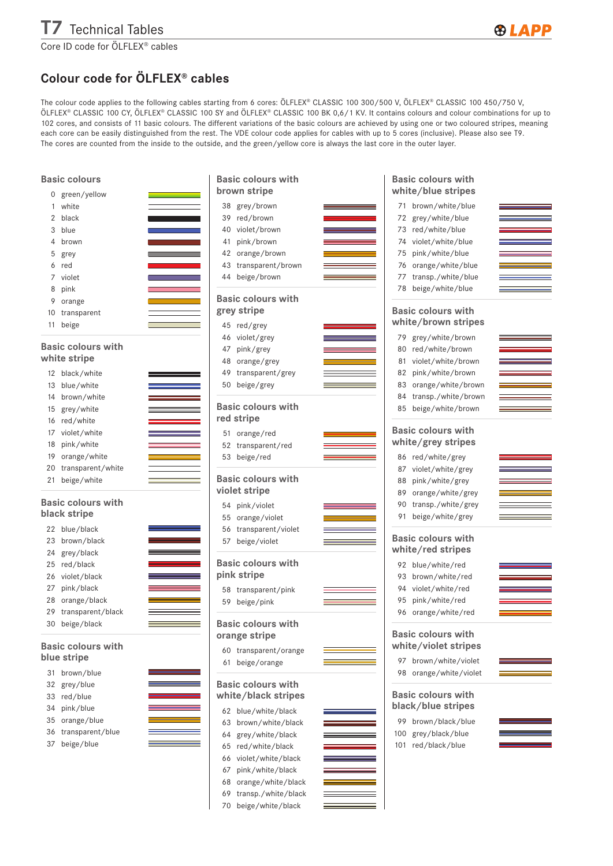## T7 Technical Tables

## **®LAPP**

Core ID code for ÖLFLEX® cables

## Colour code for ÖLFLEX® cables

The colour code applies to the following cables starting from 6 cores: ÖLFLEX® CLASSIC 100 300/500 V, ÖLFLEX® CLASSIC 100 450/750 V, ÖLFLEX® CLASSIC 100 CY, ÖLFLEX® CLASSIC 100 SY and ÖLFLEX® CLASSIC 100 BK 0,6/1 KV. It contains colours and colour combinations for up to 102 cores, and consists of 11 basic colours. The different variations of the basic colours are achieved by using one or two coloured stripes, meaning each core can be easily distinguished from the rest. The VDE colour code applies for cables with up to 5 cores (inclusive). Please also see T9. The cores are counted from the inside to the outside, and the green/yellow core is always the last core in the outer layer.

| <b>Basic colours</b>                      |                                                                                                                                                                                                                                                   | <b>Basic colours with</b> |                                                                                                                                                                                                                                      | <b>Basic colours with</b> |                         |
|-------------------------------------------|---------------------------------------------------------------------------------------------------------------------------------------------------------------------------------------------------------------------------------------------------|---------------------------|--------------------------------------------------------------------------------------------------------------------------------------------------------------------------------------------------------------------------------------|---------------------------|-------------------------|
| 0                                         | green/yellow                                                                                                                                                                                                                                      | brown stripe              |                                                                                                                                                                                                                                      | white/blue stripes        |                         |
| 1                                         | white                                                                                                                                                                                                                                             | 38 grey/brown             |                                                                                                                                                                                                                                      | 71 brown/white/blue       | <b>Service Contract</b> |
| 2                                         | black<br><b>The Committee of the Committee</b>                                                                                                                                                                                                    | red/brown<br>39           |                                                                                                                                                                                                                                      | 72 grey/white/blue        |                         |
| 3                                         | blue                                                                                                                                                                                                                                              | violet/brown<br>40        |                                                                                                                                                                                                                                      | 73 red/white/blue         |                         |
| 4                                         | brown                                                                                                                                                                                                                                             | pink/brown<br>41          |                                                                                                                                                                                                                                      | violet/white/blue<br>74   |                         |
| 5                                         | <u> 1989 - Johann Barnett, fransk konge</u><br>grey                                                                                                                                                                                               | orange/brown<br>42        |                                                                                                                                                                                                                                      | 75<br>pink/white/blue     |                         |
| 6                                         | red                                                                                                                                                                                                                                               | transparent/brown<br>43   |                                                                                                                                                                                                                                      | orange/white/blue<br>76   |                         |
| 7                                         | violet                                                                                                                                                                                                                                            | 44 beige/brown            |                                                                                                                                                                                                                                      | transp./white/blue<br>77  |                         |
| 8                                         | pink                                                                                                                                                                                                                                              |                           |                                                                                                                                                                                                                                      | 78 beige/white/blue       |                         |
| 9                                         | orange                                                                                                                                                                                                                                            | <b>Basic colours with</b> |                                                                                                                                                                                                                                      |                           |                         |
| 10                                        | transparent                                                                                                                                                                                                                                       | grey stripe               |                                                                                                                                                                                                                                      | <b>Basic colours with</b> |                         |
| 11                                        | beige                                                                                                                                                                                                                                             | 45 red/grey               |                                                                                                                                                                                                                                      | white/brown stripes       |                         |
|                                           |                                                                                                                                                                                                                                                   | 46 violet/grey            |                                                                                                                                                                                                                                      | grey/white/brown<br>79    |                         |
|                                           | <b>Basic colours with</b>                                                                                                                                                                                                                         | pink/grey<br>47           |                                                                                                                                                                                                                                      | 80<br>red/white/brown     |                         |
|                                           | white stripe                                                                                                                                                                                                                                      | orange/grey<br>48         |                                                                                                                                                                                                                                      | violet/white/brown<br>81  |                         |
| 12                                        | black/white                                                                                                                                                                                                                                       | transparent/grey<br>49    | the control of the control of the control of                                                                                                                                                                                         | pink/white/brown<br>82    |                         |
| 13                                        | blue/white                                                                                                                                                                                                                                        | beige/grey<br>50          |                                                                                                                                                                                                                                      | orange/white/brown<br>83  |                         |
| 14                                        | brown/white                                                                                                                                                                                                                                       |                           |                                                                                                                                                                                                                                      | transp./white/brown<br>84 |                         |
| 15                                        | grey/white                                                                                                                                                                                                                                        | <b>Basic colours with</b> |                                                                                                                                                                                                                                      | beige/white/brown<br>85   |                         |
| 16                                        | red/white                                                                                                                                                                                                                                         | red stripe                |                                                                                                                                                                                                                                      |                           |                         |
| 17                                        | violet/white                                                                                                                                                                                                                                      | 51 orange/red             |                                                                                                                                                                                                                                      | <b>Basic colours with</b> |                         |
| 18                                        | pink/white                                                                                                                                                                                                                                        | 52 transparent/red        |                                                                                                                                                                                                                                      | white/grey stripes        |                         |
| 19                                        | orange/white                                                                                                                                                                                                                                      | 53 beige/red              |                                                                                                                                                                                                                                      | 86 red/white/grey         |                         |
| 20                                        | transparent/white                                                                                                                                                                                                                                 |                           |                                                                                                                                                                                                                                      | violet/white/grey<br>87   |                         |
| 21                                        | beige/white                                                                                                                                                                                                                                       | <b>Basic colours with</b> |                                                                                                                                                                                                                                      | pink/white/grey<br>88     |                         |
|                                           |                                                                                                                                                                                                                                                   | violet stripe             |                                                                                                                                                                                                                                      | orange/white/grey<br>89   |                         |
| <b>Basic colours with</b><br>black stripe |                                                                                                                                                                                                                                                   | 54 pink/violet            |                                                                                                                                                                                                                                      | 90<br>transp./white/grey  |                         |
|                                           |                                                                                                                                                                                                                                                   | orange/violet<br>55       |                                                                                                                                                                                                                                      | 91 beige/white/grey       |                         |
|                                           | 22 blue/black                                                                                                                                                                                                                                     | 56 transparent/violet     |                                                                                                                                                                                                                                      |                           |                         |
| 23                                        | brown/black                                                                                                                                                                                                                                       | 57 beige/violet           | <u> The Common Seconds and Seconds and Seconds and Seconds and Seconds and Seconds and Seconds and Seconds and Seconds and Seconds and Seconds and Seconds and Seconds and Seconds and Seconds and Seconds and Seconds and Secon</u> | <b>Basic colours with</b> |                         |
| 24                                        | grey/black                                                                                                                                                                                                                                        |                           |                                                                                                                                                                                                                                      | white/red stripes         |                         |
| 25                                        | red/black<br><u> The Common Second Common Second Common Second Common Second Common Second Common Second Common Second Common Second Common Second Common Second Common Second Common Second Common Second Common Second Common Second Common</u> | <b>Basic colours with</b> |                                                                                                                                                                                                                                      | 92 blue/white/red         |                         |
| 26                                        | violet/black                                                                                                                                                                                                                                      | pink stripe               |                                                                                                                                                                                                                                      | brown/white/red<br>93     |                         |
| 27                                        | pink/black                                                                                                                                                                                                                                        | 58 transparent/pink       |                                                                                                                                                                                                                                      | violet/white/red<br>94    |                         |
| 28                                        | orange/black                                                                                                                                                                                                                                      | 59 beige/pink             |                                                                                                                                                                                                                                      | pink/white/red<br>95      |                         |
| 29                                        | transparent/black                                                                                                                                                                                                                                 |                           |                                                                                                                                                                                                                                      | 96 orange/white/red       |                         |
| 30                                        | beige/black                                                                                                                                                                                                                                       | <b>Basic colours with</b> |                                                                                                                                                                                                                                      |                           |                         |
|                                           |                                                                                                                                                                                                                                                   | orange stripe             |                                                                                                                                                                                                                                      | <b>Basic colours with</b> |                         |
|                                           | <b>Basic colours with</b>                                                                                                                                                                                                                         | 60 transparent/orange     |                                                                                                                                                                                                                                      | white/violet stripes      |                         |
|                                           | blue stripe                                                                                                                                                                                                                                       | beige/orange<br>61        |                                                                                                                                                                                                                                      | 97 brown/white/violet     |                         |
| 31                                        | brown/blue                                                                                                                                                                                                                                        |                           |                                                                                                                                                                                                                                      | 98 orange/white/violet    |                         |
| 32                                        | grey/blue                                                                                                                                                                                                                                         | <b>Basic colours with</b> |                                                                                                                                                                                                                                      |                           |                         |
| 33                                        | red/blue                                                                                                                                                                                                                                          | white/black stripes       |                                                                                                                                                                                                                                      | <b>Basic colours with</b> |                         |
| 34                                        | pink/blue                                                                                                                                                                                                                                         | 62 blue/white/black       |                                                                                                                                                                                                                                      | black/blue stripes        |                         |
| 35                                        | orange/blue                                                                                                                                                                                                                                       | brown/white/black<br>63   |                                                                                                                                                                                                                                      | 99 brown/black/blue       |                         |
| 36                                        | transparent/blue                                                                                                                                                                                                                                  | grey/white/black<br>64    |                                                                                                                                                                                                                                      | 100 grey/black/blue       |                         |
| 37                                        | beige/blue                                                                                                                                                                                                                                        | red/white/black<br>65     |                                                                                                                                                                                                                                      | 101 red/black/blue        |                         |
|                                           |                                                                                                                                                                                                                                                   | violet/white/black<br>66  |                                                                                                                                                                                                                                      |                           |                         |
|                                           |                                                                                                                                                                                                                                                   | pink/white/black<br>67    |                                                                                                                                                                                                                                      |                           |                         |
|                                           |                                                                                                                                                                                                                                                   | 68 orange/white/black     |                                                                                                                                                                                                                                      |                           |                         |

69 transp./white/black 70 beige/white/black